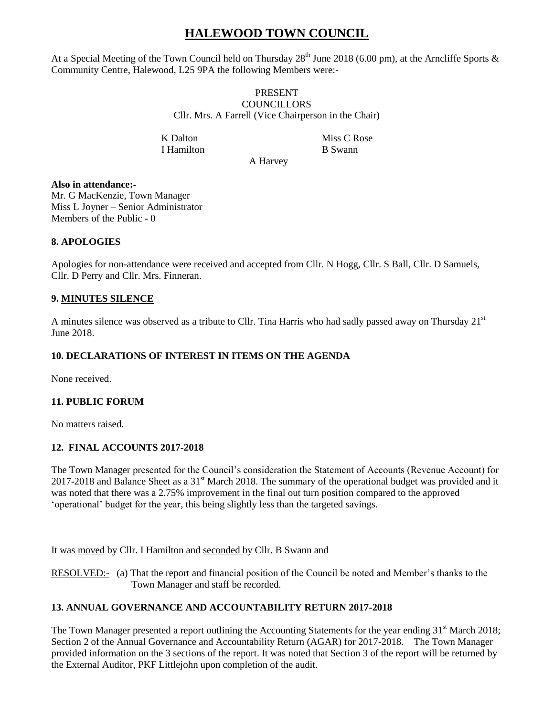# **HALEWOOD TOWN COUNCIL**

At a Special Meeting of the Town Council held on Thursday  $28^{th}$  June 2018 (6.00 pm), at the Arncliffe Sports & Community Centre, Halewood, L25 9PA the following Members were:-

#### PRESENT **COUNCILLORS** Cllr. Mrs. A Farrell (Vice Chairperson in the Chair)

I Hamilton B Swann

K Dalton Miss C Rose

A Harvey

# **Also in attendance:-**

Mr. G MacKenzie, Town Manager Miss L Joyner – Senior Administrator Members of the Public - 0

# **8. APOLOGIES**

Apologies for non-attendance were received and accepted from Cllr. N Hogg, Cllr. S Ball, Cllr. D Samuels, Cllr. D Perry and Cllr. Mrs. Finneran.

### **9. MINUTES SILENCE**

A minutes silence was observed as a tribute to Cllr. Tina Harris who had sadly passed away on Thursday  $21<sup>st</sup>$ June 2018.

# **10. DECLARATIONS OF INTEREST IN ITEMS ON THE AGENDA**

None received.

### **11. PUBLIC FORUM**

No matters raised.

### **12. FINAL ACCOUNTS 2017-2018**

The Town Manager presented for the Council's consideration the Statement of Accounts (Revenue Account) for 2017-2018 and Balance Sheet as a 31<sup>st</sup> March 2018. The summary of the operational budget was provided and it was noted that there was a 2.75% improvement in the final out turn position compared to the approved 'operational' budget for the year, this being slightly less than the targeted savings.

It was moved by Cllr. I Hamilton and seconded by Cllr. B Swann and

RESOLVED:- (a) That the report and financial position of the Council be noted and Member's thanks to the Town Manager and staff be recorded.

### **13. ANNUAL GOVERNANCE AND ACCOUNTABILITY RETURN 2017-2018**

The Town Manager presented a report outlining the Accounting Statements for the year ending  $31<sup>st</sup>$  March 2018; Section 2 of the Annual Governance and Accountability Return (AGAR) for 2017-2018. The Town Manager provided information on the 3 sections of the report. It was noted that Section 3 of the report will be returned by the External Auditor, PKF Littlejohn upon completion of the audit.